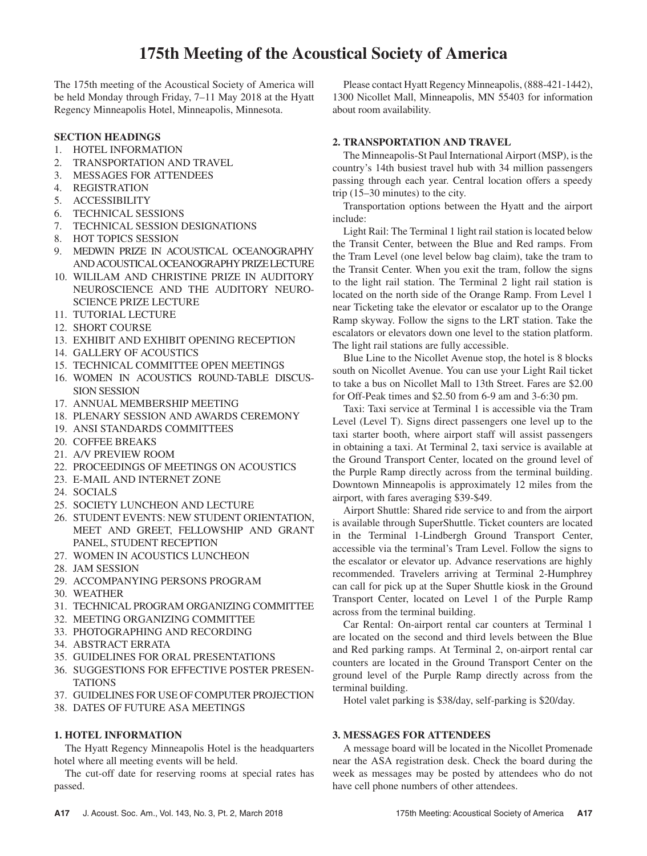The 175th meeting of the Acoustical Society of America will be held Monday through Friday, 7–11 May 2018 at the Hyatt Regency Minneapolis Hotel, Minneapolis, Minnesota.

# **SECTION HEADINGS**

- 1. HOTEL INFORMATION
- 2. TRANSPORTATION AND TRAVEL
- 3. MESSAGES FOR ATTENDEES
- 4. REGISTRATION
- 5. ACCESSIBILITY
- 6. TECHNICAL SESSIONS
- 7. TECHNICAL SESSION DESIGNATIONS
- 8. HOT TOPICS SESSION
- 9. MEDWIN PRIZE IN ACOUSTICAL OCEANOGRAPHY AND ACOUSTICAL OCEANOGRAPHY PRIZE LECTURE
- 10. WILILAM AND CHRISTINE PRIZE IN AUDITORY NEUROSCIENCE AND THE AUDITORY NEURO-SCIENCE PRIZE LECTURE
- 11. TUTORIAL LECTURE
- 12. SHORT COURSE
- 13. EXHIBIT AND EXHIBIT OPENING RECEPTION
- 14. GALLERY OF ACOUSTICS
- 15. TECHNICAL COMMITTEE OPEN MEETINGS
- 16. WOMEN IN ACOUSTICS ROUND-TABLE DISCUS-SION SESSION
- 17. ANNUAL MEMBERSHIP MEETING
- 18. PLENARY SESSION AND AWARDS CEREMONY
- 19. ANSI STANDARDS COMMITTEES
- 20. COFFEE BREAKS
- 21. A/V PREVIEW ROOM
- 22. PROCEEDINGS OF MEETINGS ON ACOUSTICS
- 23. E-MAIL AND INTERNET ZONE
- 24. SOCIALS
- 25. SOCIETY LUNCHEON AND LECTURE
- 26. STUDENT EVENTS: NEW STUDENT ORIENTATION, MEET AND GREET, FELLOWSHIP AND GRANT PANEL, STUDENT RECEPTION
- 27. WOMEN IN ACOUSTICS LUNCHEON
- 28. JAM SESSION
- 29. ACCOMPANYING PERSONS PROGRAM
- 30. WEATHER
- 31. TECHNICAL PROGRAM ORGANIZING COMMITTEE
- 32. MEETING ORGANIZING COMMITTEE
- 33. PHOTOGRAPHING AND RECORDING
- 34. ABSTRACT ERRATA
- 35. GUIDELINES FOR ORAL PRESENTATIONS
- 36. SUGGESTIONS FOR EFFECTIVE POSTER PRESEN-**TATIONS**
- 37. GUIDELINES FOR USE OF COMPUTER PROJECTION
- 38. DATES OF FUTURE ASA MEETINGS

# **1. HOTEL INFORMATION**

The Hyatt Regency Minneapolis Hotel is the headquarters hotel where all meeting events will be held.

The cut-off date for reserving rooms at special rates has passed.

Please contact Hyatt Regency Minneapolis, (888-421-1442), 1300 Nicollet Mall, Minneapolis, MN 55403 for information about room availability.

## **2. TRANSPORTATION AND TRAVEL**

The Minneapolis-St Paul International Airport (MSP), is the country's 14th busiest travel hub with 34 million passengers passing through each year. Central location offers a speedy trip (15–30 minutes) to the city.

Transportation options between the Hyatt and the airport include:

Light Rail: The Terminal 1 light rail station is located below the Transit Center, between the Blue and Red ramps. From the Tram Level (one level below bag claim), take the tram to the Transit Center. When you exit the tram, follow the signs to the light rail station. The Terminal 2 light rail station is located on the north side of the Orange Ramp. From Level 1 near Ticketing take the elevator or escalator up to the Orange Ramp skyway. Follow the signs to the LRT station. Take the escalators or elevators down one level to the station platform. The light rail stations are fully accessible.

Blue Line to the Nicollet Avenue stop, the hotel is 8 blocks south on Nicollet Avenue. You can use your Light Rail ticket to take a bus on Nicollet Mall to 13th Street. Fares are \$2.00 for Off-Peak times and \$2.50 from 6-9 am and 3-6:30 pm.

Taxi: Taxi service at Terminal 1 is accessible via the Tram Level (Level T). Signs direct passengers one level up to the taxi starter booth, where airport staff will assist passengers in obtaining a taxi. At Terminal 2, taxi service is available at the Ground Transport Center, located on the ground level of the Purple Ramp directly across from the terminal building. Downtown Minneapolis is approximately 12 miles from the airport, with fares averaging \$39-\$49.

Airport Shuttle: Shared ride service to and from the airport is available through SuperShuttle. Ticket counters are located in the Terminal 1-Lindbergh Ground Transport Center, accessible via the terminal's Tram Level. Follow the signs to the escalator or elevator up. Advance reservations are highly recommended. Travelers arriving at Terminal 2-Humphrey can call for pick up at the Super Shuttle kiosk in the Ground Transport Center, located on Level 1 of the Purple Ramp across from the terminal building.

Car Rental: On-airport rental car counters at Terminal 1 are located on the second and third levels between the Blue and Red parking ramps. At Terminal 2, on-airport rental car counters are located in the Ground Transport Center on the ground level of the Purple Ramp directly across from the terminal building.

Hotel valet parking is \$38/day, self-parking is \$20/day.

## **3. MESSAGES FOR ATTENDEES**

A message board will be located in the Nicollet Promenade near the ASA registration desk. Check the board during the week as messages may be posted by attendees who do not have cell phone numbers of other attendees.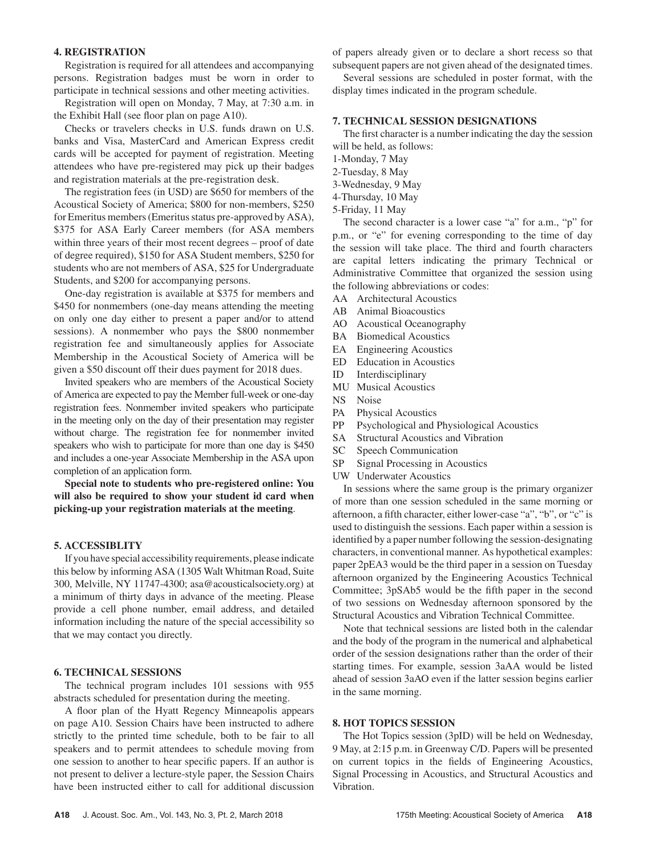#### **4. REGISTRATION**

Registration is required for all attendees and accompanying persons. Registration badges must be worn in order to participate in technical sessions and other meeting activities.

Registration will open on Monday, 7 May, at 7:30 a.m. in the Exhibit Hall (see floor plan on page A10).

Checks or travelers checks in U.S. funds drawn on U.S. banks and Visa, MasterCard and American Express credit cards will be accepted for payment of registration. Meeting attendees who have pre-registered may pick up their badges and registration materials at the pre-registration desk.

The registration fees (in USD) are \$650 for members of the Acoustical Society of America; \$800 for non-members, \$250 for Emeritus members (Emeritus status pre-approved by ASA), \$375 for ASA Early Career members (for ASA members within three years of their most recent degrees – proof of date of degree required), \$150 for ASA Student members, \$250 for students who are not members of ASA, \$25 for Undergraduate Students, and \$200 for accompanying persons.

One-day registration is available at \$375 for members and \$450 for nonmembers (one-day means attending the meeting on only one day either to present a paper and/or to attend sessions). A nonmember who pays the \$800 nonmember registration fee and simultaneously applies for Associate Membership in the Acoustical Society of America will be given a \$50 discount off their dues payment for 2018 dues.

Invited speakers who are members of the Acoustical Society of America are expected to pay the Member full-week or one-day registration fees. Nonmember invited speakers who participate in the meeting only on the day of their presentation may register without charge. The registration fee for nonmember invited speakers who wish to participate for more than one day is \$450 and includes a one-year Associate Membership in the ASA upon completion of an application form.

**Special note to students who pre-registered online: You will also be required to show your student id card when picking-up your registration materials at the meeting**.

#### **5. ACCESSIBLITY**

If you have special accessibility requirements, please indicate this below by informing ASA (1305 Walt Whitman Road, Suite 300, Melville, NY 11747-4300; asa@acousticalsociety.org) at a minimum of thirty days in advance of the meeting. Please provide a cell phone number, email address, and detailed information including the nature of the special accessibility so that we may contact you directly.

#### **6. TECHNICAL SESSIONS**

The technical program includes 101 sessions with 955 abstracts scheduled for presentation during the meeting.

A floor plan of the Hyatt Regency Minneapolis appears on page A10. Session Chairs have been instructed to adhere strictly to the printed time schedule, both to be fair to all speakers and to permit attendees to schedule moving from one session to another to hear specific papers. If an author is not present to deliver a lecture-style paper, the Session Chairs have been instructed either to call for additional discussion

of papers already given or to declare a short recess so that subsequent papers are not given ahead of the designated times.

Several sessions are scheduled in poster format, with the display times indicated in the program schedule.

#### **7. TECHNICAL SESSION DESIGNATIONS**

The first character is a number indicating the day the session will be held, as follows:

- 1-Monday, 7 May
- 2-Tuesday, 8 May
- 3-Wednesday, 9 May
- 4-Thursday, 10 May
- 5-Friday, 11 May

The second character is a lower case "a" for a.m., "p" for p.m., or "e" for evening corresponding to the time of day the session will take place. The third and fourth characters are capital letters indicating the primary Technical or Administrative Committee that organized the session using the following abbreviations or codes:

- AA Architectural Acoustics
- AB Animal Bioacoustics
- AO Acoustical Oceanography
- BA Biomedical Acoustics
- EA Engineering Acoustics
- ED Education in Acoustics
- ID Interdisciplinary
- MU Musical Acoustics
- NS Noise
- PA Physical Acoustics
- PP Psychological and Physiological Acoustics
- SA Structural Acoustics and Vibration
- SC Speech Communication
- SP Signal Processing in Acoustics
- UW Underwater Acoustics

In sessions where the same group is the primary organizer of more than one session scheduled in the same morning or afternoon, a fifth character, either lower-case "a", "b", or "c" is used to distinguish the sessions. Each paper within a session is identified by a paper number following the session-designating characters, in conventional manner. As hypothetical examples: paper 2pEA3 would be the third paper in a session on Tuesday afternoon organized by the Engineering Acoustics Technical Committee; 3pSAb5 would be the fifth paper in the second of two sessions on Wednesday afternoon sponsored by the Structural Acoustics and Vibration Technical Committee.

Note that technical sessions are listed both in the calendar and the body of the program in the numerical and alphabetical order of the session designations rather than the order of their starting times. For example, session 3aAA would be listed ahead of session 3aAO even if the latter session begins earlier in the same morning.

#### **8. HOT TOPICS SESSION**

The Hot Topics session (3pID) will be held on Wednesday, 9 May, at 2:15 p.m. in Greenway C/D. Papers will be presented on current topics in the fields of Engineering Acoustics, Signal Processing in Acoustics, and Structural Acoustics and Vibration.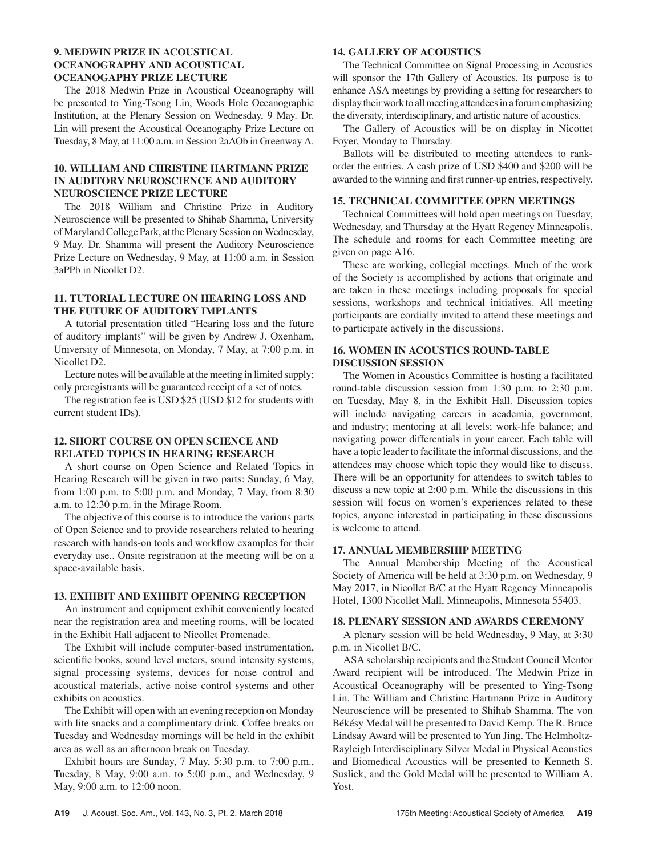## **9. MEDWIN PRIZE IN ACOUSTICAL OCEANOGRAPHY AND ACOUSTICAL OCEANOGAPHY PRIZE LECTURE**

The 2018 Medwin Prize in Acoustical Oceanography will be presented to Ying-Tsong Lin, Woods Hole Oceanographic Institution, at the Plenary Session on Wednesday, 9 May. Dr. Lin will present the Acoustical Oceanogaphy Prize Lecture on Tuesday, 8 May, at 11:00 a.m. in Session 2aAOb in Greenway A.

## **10. WILLIAM AND CHRISTINE HARTMANN PRIZE IN AUDITORY NEUROSCIENCE AND AUDITORY NEUROSCIENCE PRIZE LECTURE**

The 2018 William and Christine Prize in Auditory Neuroscience will be presented to Shihab Shamma, University of Maryland College Park, at the Plenary Session on Wednesday, 9 May. Dr. Shamma will present the Auditory Neuroscience Prize Lecture on Wednesday, 9 May, at 11:00 a.m. in Session 3aPPb in Nicollet D2.

## **11. TUTORIAL LECTURE ON HEARING LOSS AND THE FUTURE OF AUDITORY IMPLANTS**

A tutorial presentation titled "Hearing loss and the future of auditory implants" will be given by Andrew J. Oxenham, University of Minnesota, on Monday, 7 May, at 7:00 p.m. in Nicollet D2.

Lecture notes will be available at the meeting in limited supply; only preregistrants will be guaranteed receipt of a set of notes.

The registration fee is USD \$25 (USD \$12 for students with current student IDs).

# **12. SHORT COURSE ON OPEN SCIENCE AND RELATED TOPICS IN HEARING RESEARCH**

A short course on Open Science and Related Topics in Hearing Research will be given in two parts: Sunday, 6 May, from 1:00 p.m. to 5:00 p.m. and Monday, 7 May, from 8:30 a.m. to 12:30 p.m. in the Mirage Room.

The objective of this course is to introduce the various parts of Open Science and to provide researchers related to hearing research with hands-on tools and workflow examples for their everyday use.. Onsite registration at the meeting will be on a space-available basis.

#### **13. EXHIBIT AND EXHIBIT OPENING RECEPTION**

An instrument and equipment exhibit conveniently located near the registration area and meeting rooms, will be located in the Exhibit Hall adjacent to Nicollet Promenade.

The Exhibit will include computer-based instrumentation, scientific books, sound level meters, sound intensity systems, signal processing systems, devices for noise control and acoustical materials, active noise control systems and other exhibits on acoustics.

The Exhibit will open with an evening reception on Monday with lite snacks and a complimentary drink. Coffee breaks on Tuesday and Wednesday mornings will be held in the exhibit area as well as an afternoon break on Tuesday.

Exhibit hours are Sunday, 7 May, 5:30 p.m. to 7:00 p.m., Tuesday, 8 May, 9:00 a.m. to 5:00 p.m., and Wednesday, 9 May, 9:00 a.m. to 12:00 noon.

## **14. GALLERY OF ACOUSTICS**

The Technical Committee on Signal Processing in Acoustics will sponsor the 17th Gallery of Acoustics. Its purpose is to enhance ASA meetings by providing a setting for researchers to display their work to all meeting attendees in a forum emphasizing the diversity, interdisciplinary, and artistic nature of acoustics.

The Gallery of Acoustics will be on display in Nicottet Foyer, Monday to Thursday.

Ballots will be distributed to meeting attendees to rankorder the entries. A cash prize of USD \$400 and \$200 will be awarded to the winning and first runner-up entries, respectively.

## **15. TECHNICAL COMMITTEE OPEN MEETINGS**

Technical Committees will hold open meetings on Tuesday, Wednesday, and Thursday at the Hyatt Regency Minneapolis. The schedule and rooms for each Committee meeting are given on page A16.

These are working, collegial meetings. Much of the work of the Society is accomplished by actions that originate and are taken in these meetings including proposals for special sessions, workshops and technical initiatives. All meeting participants are cordially invited to attend these meetings and to participate actively in the discussions.

## **16. WOMEN IN ACOUSTICS ROUND-TABLE DISCUSSION SESSION**

The Women in Acoustics Committee is hosting a facilitated round-table discussion session from 1:30 p.m. to 2:30 p.m. on Tuesday, May 8, in the Exhibit Hall. Discussion topics will include navigating careers in academia, government, and industry; mentoring at all levels; work-life balance; and navigating power differentials in your career. Each table will have a topic leader to facilitate the informal discussions, and the attendees may choose which topic they would like to discuss. There will be an opportunity for attendees to switch tables to discuss a new topic at 2:00 p.m. While the discussions in this session will focus on women's experiences related to these topics, anyone interested in participating in these discussions is welcome to attend.

#### **17. ANNUAL MEMBERSHIP MEETING**

The Annual Membership Meeting of the Acoustical Society of America will be held at 3:30 p.m. on Wednesday, 9 May 2017, in Nicollet B/C at the Hyatt Regency Minneapolis Hotel, 1300 Nicollet Mall, Minneapolis, Minnesota 55403.

#### **18. PLENARY SESSION AND AWARDS CEREMONY**

A plenary session will be held Wednesday, 9 May, at 3:30 p.m. in Nicollet B/C.

ASA scholarship recipients and the Student Council Mentor Award recipient will be introduced. The Medwin Prize in Acoustical Oceanography will be presented to Ying-Tsong Lin. The William and Christine Hartmann Prize in Auditory Neuroscience will be presented to Shihab Shamma. The von Békésy Medal will be presented to David Kemp. The R. Bruce Lindsay Award will be presented to Yun Jing. The Helmholtz-Rayleigh Interdisciplinary Silver Medal in Physical Acoustics and Biomedical Acoustics will be presented to Kenneth S. Suslick, and the Gold Medal will be presented to William A. Yost.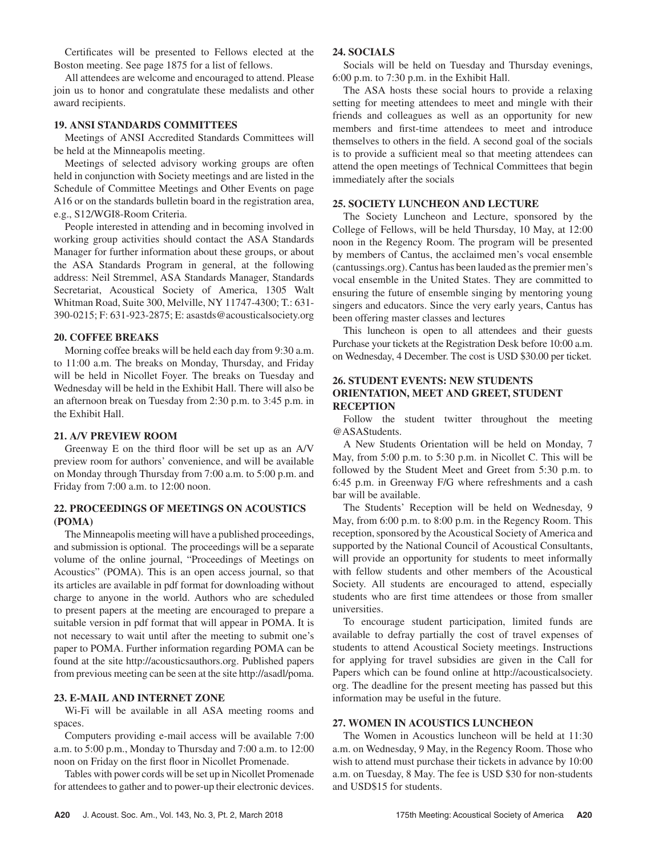Certificates will be presented to Fellows elected at the Boston meeting. See page 1875 for a list of fellows.

All attendees are welcome and encouraged to attend. Please join us to honor and congratulate these medalists and other award recipients.

#### **19. ANSI STANDARDS COMMITTEES**

Meetings of ANSI Accredited Standards Committees will be held at the Minneapolis meeting.

Meetings of selected advisory working groups are often held in conjunction with Society meetings and are listed in the Schedule of Committee Meetings and Other Events on page A16 or on the standards bulletin board in the registration area, e.g., S12/WGI8-Room Criteria.

People interested in attending and in becoming involved in working group activities should contact the ASA Standards Manager for further information about these groups, or about the ASA Standards Program in general, at the following address: Neil Stremmel, ASA Standards Manager, Standards Secretariat, Acoustical Society of America, 1305 Walt Whitman Road, Suite 300, Melville, NY 11747-4300; T.: 631- 390-0215; F: 631-923-2875; E: asastds@acousticalsociety.org

#### **20. COFFEE BREAKS**

Morning coffee breaks will be held each day from 9:30 a.m. to 11:00 a.m. The breaks on Monday, Thursday, and Friday will be held in Nicollet Foyer. The breaks on Tuesday and Wednesday will be held in the Exhibit Hall. There will also be an afternoon break on Tuesday from 2:30 p.m. to 3:45 p.m. in the Exhibit Hall.

#### **21. A/V PREVIEW ROOM**

Greenway E on the third floor will be set up as an  $A/V$ preview room for authors' convenience, and will be available on Monday through Thursday from 7:00 a.m. to 5:00 p.m. and Friday from 7:00 a.m. to 12:00 noon.

#### **22. PROCEEDINGS OF MEETINGS ON ACOUSTICS (POMA)**

The Minneapolis meeting will have a published proceedings, and submission is optional. The proceedings will be a separate volume of the online journal, "Proceedings of Meetings on Acoustics" (POMA). This is an open access journal, so that its articles are available in pdf format for downloading without charge to anyone in the world. Authors who are scheduled to present papers at the meeting are encouraged to prepare a suitable version in pdf format that will appear in POMA. It is not necessary to wait until after the meeting to submit one's paper to POMA. Further information regarding POMA can be found at the site http://acousticsauthors.org. Published papers from previous meeting can be seen at the site http://asadl/poma.

#### **23. E-MAIL AND INTERNET ZONE**

Wi-Fi will be available in all ASA meeting rooms and spaces.

Computers providing e-mail access will be available 7:00 a.m. to 5:00 p.m., Monday to Thursday and 7:00 a.m. to 12:00 noon on Friday on the first floor in Nicollet Promenade.

Tables with power cords will be set up in Nicollet Promenade for attendees to gather and to power-up their electronic devices.

#### **24. SOCIALS**

Socials will be held on Tuesday and Thursday evenings, 6:00 p.m. to 7:30 p.m. in the Exhibit Hall.

The ASA hosts these social hours to provide a relaxing setting for meeting attendees to meet and mingle with their friends and colleagues as well as an opportunity for new members and first-time attendees to meet and introduce themselves to others in the field. A second goal of the socials is to provide a sufficient meal so that meeting attendees can attend the open meetings of Technical Committees that begin immediately after the socials

## **25. SOCIETY LUNCHEON AND LECTURE**

The Society Luncheon and Lecture, sponsored by the College of Fellows, will be held Thursday, 10 May, at 12:00 noon in the Regency Room. The program will be presented by members of Cantus, the acclaimed men's vocal ensemble (cantussings.org). Cantus has been lauded as the premier men's vocal ensemble in the United States. They are committed to ensuring the future of ensemble singing by mentoring young singers and educators. Since the very early years, Cantus has been offering master classes and lectures

This luncheon is open to all attendees and their guests Purchase your tickets at the Registration Desk before 10:00 a.m. on Wednesday, 4 December. The cost is USD \$30.00 per ticket.

#### **26. STUDENT EVENTS: NEW STUDENTS ORIENTATION, MEET AND GREET, STUDENT RECEPTION**

Follow the student twitter throughout the meeting @ASAStudents.

A New Students Orientation will be held on Monday, 7 May, from 5:00 p.m. to 5:30 p.m. in Nicollet C. This will be followed by the Student Meet and Greet from 5:30 p.m. to 6:45 p.m. in Greenway F/G where refreshments and a cash bar will be available.

The Students' Reception will be held on Wednesday, 9 May, from 6:00 p.m. to 8:00 p.m. in the Regency Room. This reception, sponsored by the Acoustical Society of America and supported by the National Council of Acoustical Consultants, will provide an opportunity for students to meet informally with fellow students and other members of the Acoustical Society. All students are encouraged to attend, especially students who are first time attendees or those from smaller universities.

To encourage student participation, limited funds are available to defray partially the cost of travel expenses of students to attend Acoustical Society meetings. Instructions for applying for travel subsidies are given in the Call for Papers which can be found online at http://acousticalsociety. org. The deadline for the present meeting has passed but this information may be useful in the future.

## **27. WOMEN IN ACOUSTICS LUNCHEON**

The Women in Acoustics luncheon will be held at 11:30 a.m. on Wednesday, 9 May, in the Regency Room. Those who wish to attend must purchase their tickets in advance by 10:00 a.m. on Tuesday, 8 May. The fee is USD \$30 for non-students and USD\$15 for students.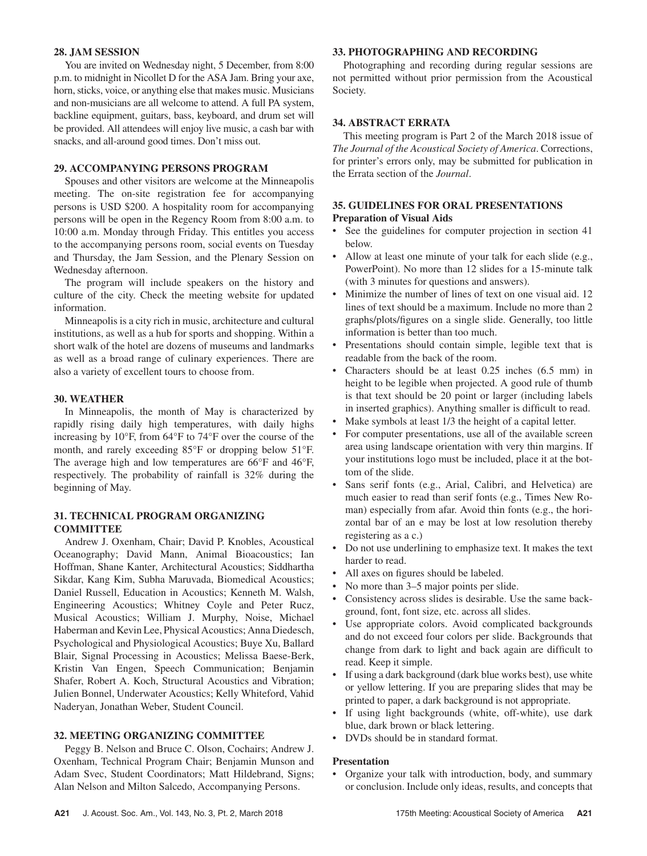#### **28. JAM SESSION**

You are invited on Wednesday night, 5 December, from 8:00 p.m. to midnight in Nicollet D for the ASA Jam. Bring your axe, horn, sticks, voice, or anything else that makes music. Musicians and non-musicians are all welcome to attend. A full PA system, backline equipment, guitars, bass, keyboard, and drum set will be provided. All attendees will enjoy live music, a cash bar with snacks, and all-around good times. Don't miss out.

#### **29. ACCOMPANYING PERSONS PROGRAM**

Spouses and other visitors are welcome at the Minneapolis meeting. The on-site registration fee for accompanying persons is USD \$200. A hospitality room for accompanying persons will be open in the Regency Room from 8:00 a.m. to 10:00 a.m. Monday through Friday. This entitles you access to the accompanying persons room, social events on Tuesday and Thursday, the Jam Session, and the Plenary Session on Wednesday afternoon.

The program will include speakers on the history and culture of the city. Check the meeting website for updated information.

Minneapolis is a city rich in music, architecture and cultural institutions, as well as a hub for sports and shopping. Within a short walk of the hotel are dozens of museums and landmarks as well as a broad range of culinary experiences. There are also a variety of excellent tours to choose from.

#### **30. WEATHER**

In Minneapolis, the month of May is characterized by rapidly rising daily high temperatures, with daily highs increasing by 10°F, from 64°F to 74°F over the course of the month, and rarely exceeding 85°F or dropping below 51°F. The average high and low temperatures are 66°F and 46°F, respectively. The probability of rainfall is 32% during the beginning of May.

## **31. TECHNICAL PROGRAM ORGANIZING COMMITTEE**

Andrew J. Oxenham, Chair; David P. Knobles, Acoustical Oceanography; David Mann, Animal Bioacoustics; Ian Hoffman, Shane Kanter, Architectural Acoustics; Siddhartha Sikdar, Kang Kim, Subha Maruvada, Biomedical Acoustics; Daniel Russell, Education in Acoustics; Kenneth M. Walsh, Engineering Acoustics; Whitney Coyle and Peter Rucz, Musical Acoustics; William J. Murphy, Noise, Michael Haberman and Kevin Lee, Physical Acoustics; Anna Diedesch, Psychological and Physiological Acoustics; Buye Xu, Ballard Blair, Signal Processing in Acoustics; Melissa Baese-Berk, Kristin Van Engen, Speech Communication; Benjamin Shafer, Robert A. Koch, Structural Acoustics and Vibration; Julien Bonnel, Underwater Acoustics; Kelly Whiteford, Vahid Naderyan, Jonathan Weber, Student Council.

#### **32. MEETING ORGANIZING COMMITTEE**

Peggy B. Nelson and Bruce C. Olson, Cochairs; Andrew J. Oxenham, Technical Program Chair; Benjamin Munson and Adam Svec, Student Coordinators; Matt Hildebrand, Signs; Alan Nelson and Milton Salcedo, Accompanying Persons.

## **33. PHOTOGRAPHING AND RECORDING**

Photographing and recording during regular sessions are not permitted without prior permission from the Acoustical Society.

## **34. ABSTRACT ERRATA**

This meeting program is Part 2 of the March 2018 issue of *The Journal of the Acoustical Society of America*. Corrections, for printer's errors only, may be submitted for publication in the Errata section of the *Journal*.

## **35. GUIDELINES FOR ORAL PRESENTATIONS Preparation of Visual Aids**

- See the guidelines for computer projection in section 41 below.
- Allow at least one minute of your talk for each slide (e.g., PowerPoint). No more than 12 slides for a 15-minute talk (with 3 minutes for questions and answers).
- Minimize the number of lines of text on one visual aid. 12 lines of text should be a maximum. Include no more than 2 graphs/plots/figures on a single slide. Generally, too little information is better than too much.
- Presentations should contain simple, legible text that is readable from the back of the room.
- Characters should be at least 0.25 inches (6.5 mm) in height to be legible when projected. A good rule of thumb is that text should be 20 point or larger (including labels in inserted graphics). Anything smaller is difficult to read.
- Make symbols at least 1/3 the height of a capital letter.
- For computer presentations, use all of the available screen area using landscape orientation with very thin margins. If your institutions logo must be included, place it at the bottom of the slide.
- Sans serif fonts (e.g., Arial, Calibri, and Helvetica) are much easier to read than serif fonts (e.g., Times New Roman) especially from afar. Avoid thin fonts (e.g., the horizontal bar of an e may be lost at low resolution thereby registering as a c.)
- Do not use underlining to emphasize text. It makes the text harder to read.
- All axes on figures should be labeled.
- No more than 3–5 major points per slide.
- Consistency across slides is desirable. Use the same background, font, font size, etc. across all slides.
- Use appropriate colors. Avoid complicated backgrounds and do not exceed four colors per slide. Backgrounds that change from dark to light and back again are difficult to read. Keep it simple.
- If using a dark background (dark blue works best), use white or yellow lettering. If you are preparing slides that may be printed to paper, a dark background is not appropriate.
- If using light backgrounds (white, off-white), use dark blue, dark brown or black lettering.
- DVDs should be in standard format.

#### **Presentation**

• Organize your talk with introduction, body, and summary or conclusion. Include only ideas, results, and concepts that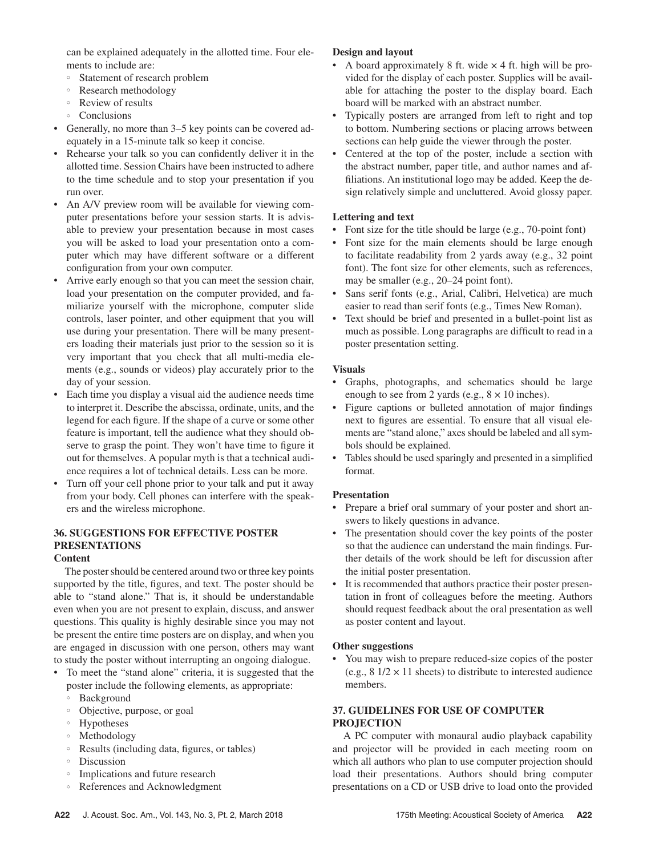can be explained adequately in the allotted time. Four elements to include are:

- Statement of research problem
- Research methodology
- Review of results
- Conclusions
- Generally, no more than  $3-5$  key points can be covered adequately in a 15-minute talk so keep it concise.
- Rehearse your talk so you can confidently deliver it in the allotted time. Session Chairs have been instructed to adhere to the time schedule and to stop your presentation if you run over.
- An A/V preview room will be available for viewing computer presentations before your session starts. It is advisable to preview your presentation because in most cases you will be asked to load your presentation onto a computer which may have different software or a different configuration from your own computer.
- Arrive early enough so that you can meet the session chair, load your presentation on the computer provided, and familiarize yourself with the microphone, computer slide controls, laser pointer, and other equipment that you will use during your presentation. There will be many presenters loading their materials just prior to the session so it is very important that you check that all multi-media elements (e.g., sounds or videos) play accurately prior to the day of your session.
- Each time you display a visual aid the audience needs time to interpret it. Describe the abscissa, ordinate, units, and the legend for each figure. If the shape of a curve or some other feature is important, tell the audience what they should observe to grasp the point. They won't have time to figure it out for themselves. A popular myth is that a technical audience requires a lot of technical details. Less can be more.
- Turn off your cell phone prior to your talk and put it away from your body. Cell phones can interfere with the speakers and the wireless microphone.

# **36. SUGGESTIONS FOR EFFECTIVE POSTER PRESENTATIONS**

#### **Content**

The poster should be centered around two or three key points supported by the title, figures, and text. The poster should be able to "stand alone." That is, it should be understandable even when you are not present to explain, discuss, and answer questions. This quality is highly desirable since you may not be present the entire time posters are on display, and when you are engaged in discussion with one person, others may want to study the poster without interrupting an ongoing dialogue.

- To meet the "stand alone" criteria, it is suggested that the poster include the following elements, as appropriate:
	- Background
	- Objective, purpose, or goal
	- Hypotheses
	- Methodology
	- Results (including data, figures, or tables)
	- Discussion
	- Implications and future research
	- References and Acknowledgment

# **Design and layout**

- A board approximately 8 ft. wide  $\times$  4 ft. high will be provided for the display of each poster. Supplies will be available for attaching the poster to the display board. Each board will be marked with an abstract number.
- Typically posters are arranged from left to right and top to bottom. Numbering sections or placing arrows between sections can help guide the viewer through the poster.
- Centered at the top of the poster, include a section with the abstract number, paper title, and author names and affiliations. An institutional logo may be added. Keep the design relatively simple and uncluttered. Avoid glossy paper.

# **Lettering and text**

- Font size for the title should be large (e.g., 70-point font)
- Font size for the main elements should be large enough to facilitate readability from 2 yards away (e.g., 32 point font). The font size for other elements, such as references, may be smaller (e.g., 20–24 point font).
- Sans serif fonts (e.g., Arial, Calibri, Helvetica) are much easier to read than serif fonts (e.g., Times New Roman).
- Text should be brief and presented in a bullet-point list as much as possible. Long paragraphs are difficult to read in a poster presentation setting.

# **Visuals**

- Graphs, photographs, and schematics should be large enough to see from 2 yards (e.g.,  $8 \times 10$  inches).
- Figure captions or bulleted annotation of major findings next to figures are essential. To ensure that all visual elements are "stand alone," axes should be labeled and all symbols should be explained.
- Tables should be used sparingly and presented in a simplified format.

# **Presentation**

- Prepare a brief oral summary of your poster and short answers to likely questions in advance.
- The presentation should cover the key points of the poster so that the audience can understand the main findings. Further details of the work should be left for discussion after the initial poster presentation.
- It is recommended that authors practice their poster presentation in front of colleagues before the meeting. Authors should request feedback about the oral presentation as well as poster content and layout.

# **Other suggestions**

• You may wish to prepare reduced-size copies of the poster (e.g.,  $8 \frac{1}{2} \times 11$  sheets) to distribute to interested audience members.

## **37. GUIDELINES FOR USE OF COMPUTER PROJECTION**

A PC computer with monaural audio playback capability and projector will be provided in each meeting room on which all authors who plan to use computer projection should load their presentations. Authors should bring computer presentations on a CD or USB drive to load onto the provided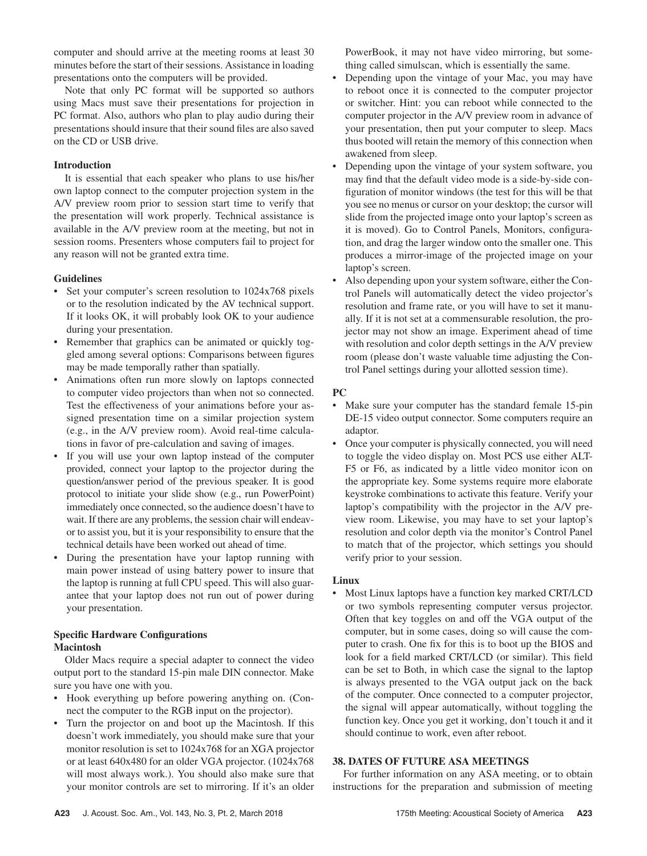computer and should arrive at the meeting rooms at least 30 minutes before the start of their sessions. Assistance in loading presentations onto the computers will be provided.

Note that only PC format will be supported so authors using Macs must save their presentations for projection in PC format. Also, authors who plan to play audio during their presentations should insure that their sound files are also saved on the CD or USB drive.

#### **Introduction**

It is essential that each speaker who plans to use his/her own laptop connect to the computer projection system in the A/V preview room prior to session start time to verify that the presentation will work properly. Technical assistance is available in the A/V preview room at the meeting, but not in session rooms. Presenters whose computers fail to project for any reason will not be granted extra time.

#### **Guidelines**

- Set your computer's screen resolution to 1024x768 pixels or to the resolution indicated by the AV technical support. If it looks OK, it will probably look OK to your audience during your presentation.
- Remember that graphics can be animated or quickly toggled among several options: Comparisons between figures may be made temporally rather than spatially.
- Animations often run more slowly on laptops connected to computer video projectors than when not so connected. Test the effectiveness of your animations before your assigned presentation time on a similar projection system (e.g., in the A/V preview room). Avoid real-time calculations in favor of pre-calculation and saving of images.
- If you will use your own laptop instead of the computer provided, connect your laptop to the projector during the question/answer period of the previous speaker. It is good protocol to initiate your slide show (e.g., run PowerPoint) immediately once connected, so the audience doesn't have to wait. If there are any problems, the session chair will endeavor to assist you, but it is your responsibility to ensure that the technical details have been worked out ahead of time.
- During the presentation have your laptop running with main power instead of using battery power to insure that the laptop is running at full CPU speed. This will also guarantee that your laptop does not run out of power during your presentation.

# **Specific Hardware Configurations Macintosh**

Older Macs require a special adapter to connect the video output port to the standard 15-pin male DIN connector. Make sure you have one with you.

- Hook everything up before powering anything on. (Connect the computer to the RGB input on the projector).
- Turn the projector on and boot up the Macintosh. If this doesn't work immediately, you should make sure that your monitor resolution is set to 1024x768 for an XGA projector or at least 640x480 for an older VGA projector. (1024x768 will most always work.). You should also make sure that your monitor controls are set to mirroring. If it's an older

PowerBook, it may not have video mirroring, but something called simulscan, which is essentially the same.

- Depending upon the vintage of your Mac, you may have to reboot once it is connected to the computer projector or switcher. Hint: you can reboot while connected to the computer projector in the A/V preview room in advance of your presentation, then put your computer to sleep. Macs thus booted will retain the memory of this connection when awakened from sleep.
- Depending upon the vintage of your system software, you may find that the default video mode is a side-by-side configuration of monitor windows (the test for this will be that you see no menus or cursor on your desktop; the cursor will slide from the projected image onto your laptop's screen as it is moved). Go to Control Panels, Monitors, configuration, and drag the larger window onto the smaller one. This produces a mirror-image of the projected image on your laptop's screen.
- Also depending upon your system software, either the Control Panels will automatically detect the video projector's resolution and frame rate, or you will have to set it manually. If it is not set at a commensurable resolution, the projector may not show an image. Experiment ahead of time with resolution and color depth settings in the A/V preview room (please don't waste valuable time adjusting the Control Panel settings during your allotted session time).

#### **PC**

- Make sure your computer has the standard female 15-pin DE-15 video output connector. Some computers require an adaptor.
- Once your computer is physically connected, you will need to toggle the video display on. Most PCS use either ALT-F5 or F6, as indicated by a little video monitor icon on the appropriate key. Some systems require more elaborate keystroke combinations to activate this feature. Verify your laptop's compatibility with the projector in the A/V preview room. Likewise, you may have to set your laptop's resolution and color depth via the monitor's Control Panel to match that of the projector, which settings you should verify prior to your session.

#### **Linux**

• Most Linux laptops have a function key marked CRT/LCD or two symbols representing computer versus projector. Often that key toggles on and off the VGA output of the computer, but in some cases, doing so will cause the computer to crash. One fix for this is to boot up the BIOS and look for a field marked CRT/LCD (or similar). This field can be set to Both, in which case the signal to the laptop is always presented to the VGA output jack on the back of the computer. Once connected to a computer projector, the signal will appear automatically, without toggling the function key. Once you get it working, don't touch it and it should continue to work, even after reboot.

## **38. DATES OF FUTURE ASA MEETINGS**

For further information on any ASA meeting, or to obtain instructions for the preparation and submission of meeting